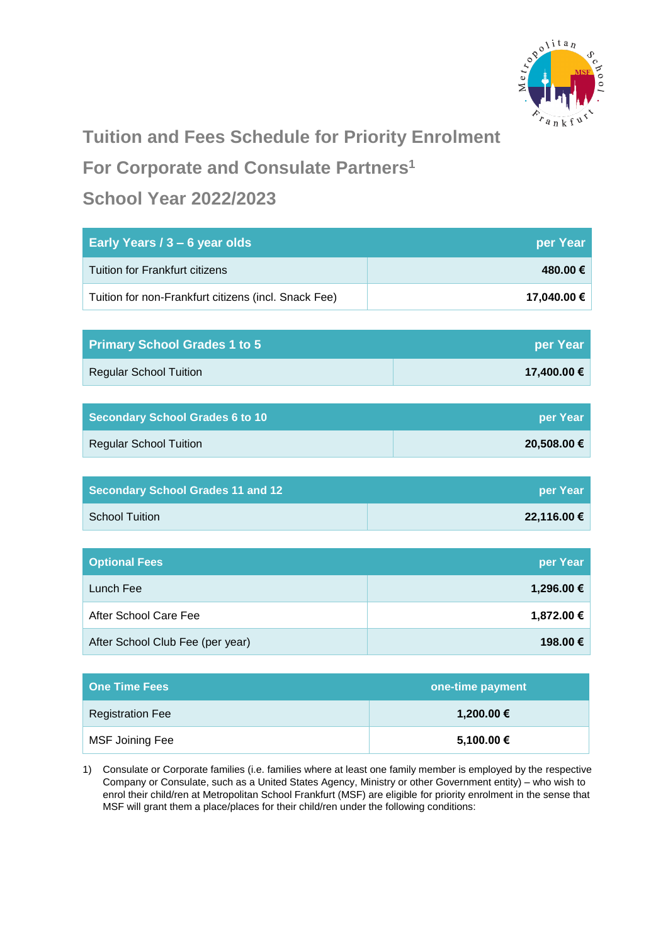

# **Tuition and Fees Schedule for Priority Enrolment**

**For Corporate and Consulate Partners<sup>1</sup>**

## **School Year 2022/2023**

| Early Years / 3 - 6 year olds                        | per Year    |
|------------------------------------------------------|-------------|
| <b>Tuition for Frankfurt citizens</b>                | 480.00€     |
| Tuition for non-Frankfurt citizens (incl. Snack Fee) | 17,040.00 € |
|                                                      |             |
| <b>Primary School Grades 1 to 5</b>                  | per Year    |
| <b>Regular School Tuition</b>                        | 17,400.00 € |
|                                                      |             |
| <b>Secondary School Grades 6 to 10</b>               | per Year    |
| <b>Regular School Tuition</b>                        | 20,508.00 € |
|                                                      |             |
| <b>Secondary School Grades 11 and 12</b>             | per Year    |
| <b>School Tuition</b>                                | 22,116.00 € |
|                                                      |             |
| <b>Optional Fees</b>                                 | per Year    |
| Lunch Fee                                            | 1,296.00 €  |
| After School Care Fee                                | 1,872.00 €  |
| After School Club Fee (per year)                     | 198.00€     |

| <b>One Time Fees</b>    | one-time payment |
|-------------------------|------------------|
| <b>Registration Fee</b> | 1,200.00 €       |
| MSF Joining Fee         | 5,100.00 €       |

1) Consulate or Corporate families (i.e. families where at least one family member is employed by the respective Company or Consulate, such as a United States Agency, Ministry or other Government entity) – who wish to enrol their child/ren at Metropolitan School Frankfurt (MSF) are eligible for priority enrolment in the sense that MSF will grant them a place/places for their child/ren under the following conditions: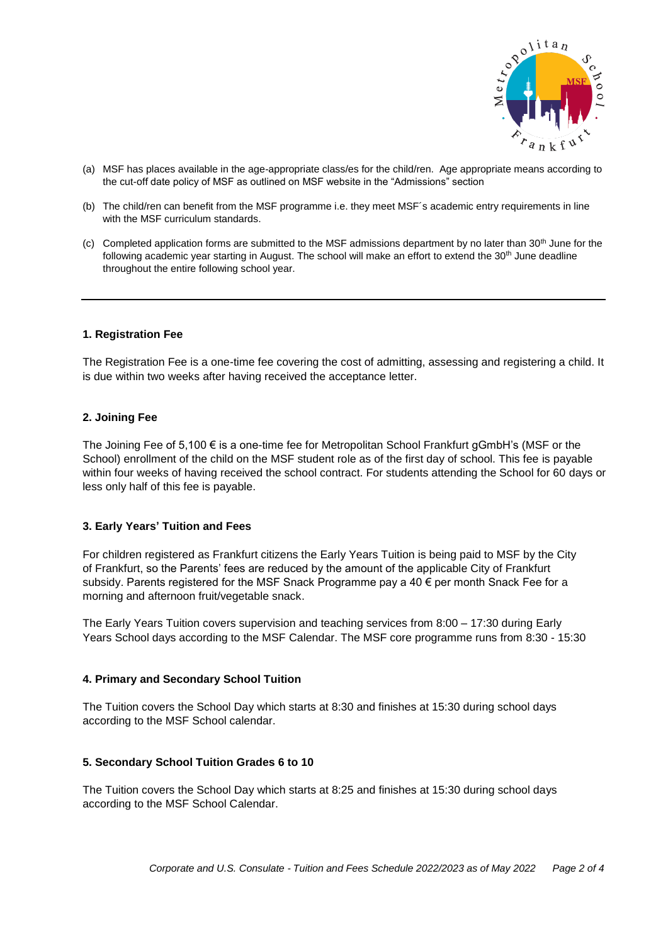

- (a) MSF has places available in the age-appropriate class/es for the child/ren. Age appropriate means according to the cut-off date policy of MSF as outlined on MSF website in the "Admissions" section
- (b) The child/ren can benefit from the MSF programme i.e. they meet MSF´s academic entry requirements in line with the MSF curriculum standards.
- (c) Completed application forms are submitted to the MSF admissions department by no later than 30<sup>th</sup> June for the following academic year starting in August. The school will make an effort to extend the 30<sup>th</sup> June deadline throughout the entire following school year.

## **1. Registration Fee**

The Registration Fee is a one-time fee covering the cost of admitting, assessing and registering a child. It is due within two weeks after having received the acceptance letter.

#### **2. Joining Fee**

The Joining Fee of 5,100 € is a one-time fee for Metropolitan School Frankfurt gGmbH's (MSF or the School) enrollment of the child on the MSF student role as of the first day of school. This fee is payable within four weeks of having received the school contract. For students attending the School for 60 days or less only half of this fee is payable.

#### **3. Early Years' Tuition and Fees**

For children registered as Frankfurt citizens the Early Years Tuition is being paid to MSF by the City of Frankfurt, so the Parents' fees are reduced by the amount of the applicable City of Frankfurt subsidy. Parents registered for the MSF Snack Programme pay a 40 € per month Snack Fee for a morning and afternoon fruit/vegetable snack.

The Early Years Tuition covers supervision and teaching services from 8:00 – 17:30 during Early Years School days according to the MSF Calendar. The MSF core programme runs from 8:30 - 15:30

#### **4. Primary and Secondary School Tuition**

The Tuition covers the School Day which starts at 8:30 and finishes at 15:30 during school days according to the MSF School calendar.

#### **5. Secondary School Tuition Grades 6 to 10**

The Tuition covers the School Day which starts at 8:25 and finishes at 15:30 during school days according to the MSF School Calendar.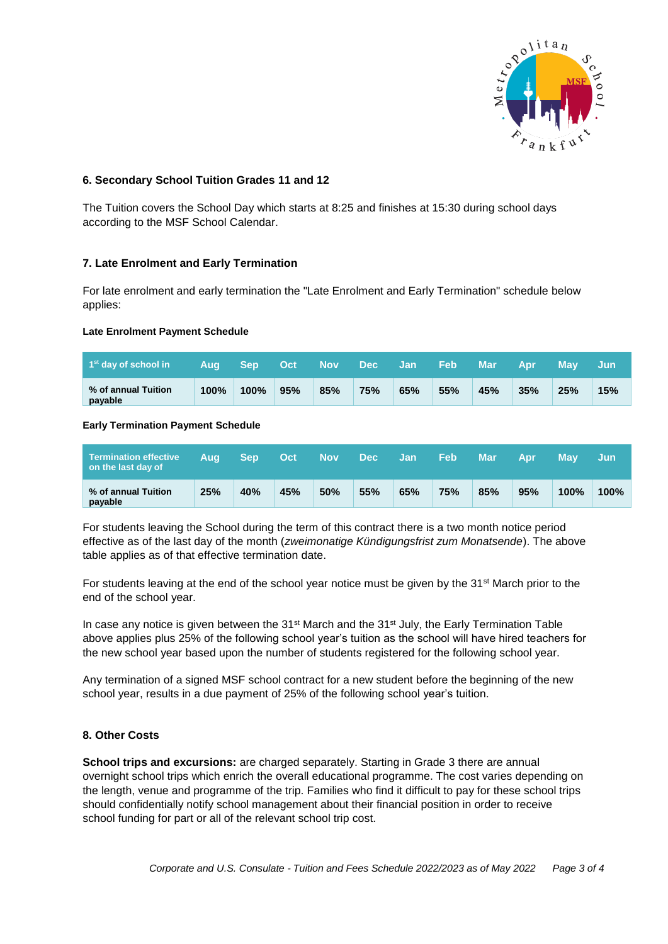

## **6. Secondary School Tuition Grades 11 and 12**

The Tuition covers the School Day which starts at 8:25 and finishes at 15:30 during school days according to the MSF School Calendar.

## **7. Late Enrolment and Early Termination**

For late enrolment and early termination the "Late Enrolment and Early Termination" schedule below applies:

## **Late Enrolment Payment Schedule**

| $1st$ day of school in         | Aug     | – Sep | <b>LOct</b> | Nov Dec |     | ⊟Jan ∶ | <b>Feb</b> | Mar | <b>Apr</b> | <b>May</b> | ' Jun |
|--------------------------------|---------|-------|-------------|---------|-----|--------|------------|-----|------------|------------|-------|
| % of annual Tuition<br>payable | $100\%$ | 100%  | 95%         | 85%     | 75% | 65%    | 55%        | 45% | 35%        | 25%        | 15%   |

## **Early Termination Payment Schedule**

| Termination effective<br>on the last day of | Aua | <b>Sep</b> | Oct | <b>Nov</b> | <b>Dec</b> | <b>Jan</b> | <b>Feb</b> | Mar | Apr | Mav     | Jun     |
|---------------------------------------------|-----|------------|-----|------------|------------|------------|------------|-----|-----|---------|---------|
| % of annual Tuition<br>payable              | 25% | 40%        | 45% | 50%        | 55%        | 65%        | 75%        | 85% | 95% | $100\%$ | $100\%$ |

For students leaving the School during the term of this contract there is a two month notice period effective as of the last day of the month (*zweimonatige Kündigungsfrist zum Monatsende*). The above table applies as of that effective termination date.

For students leaving at the end of the school year notice must be given by the  $31<sup>st</sup>$  March prior to the end of the school year.

In case any notice is given between the 31<sup>st</sup> March and the 31<sup>st</sup> July, the Early Termination Table above applies plus 25% of the following school year's tuition as the school will have hired teachers for the new school year based upon the number of students registered for the following school year.

Any termination of a signed MSF school contract for a new student before the beginning of the new school year, results in a due payment of 25% of the following school year's tuition.

## **8. Other Costs**

**School trips and excursions:** are charged separately. Starting in Grade 3 there are annual overnight school trips which enrich the overall educational programme. The cost varies depending on the length, venue and programme of the trip. Families who find it difficult to pay for these school trips should confidentially notify school management about their financial position in order to receive school funding for part or all of the relevant school trip cost.